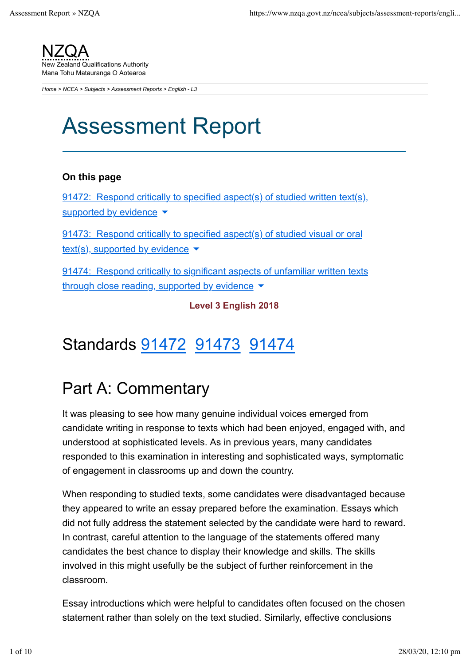

*Home > NCEA > Subjects > Assessment Reports > English - L3*

# Assessment Report

#### **On this page**

91472: Respond critically to specified aspect(s) of studied written text(s), supported by evidence  $\blacktriangledown$ 

91473: Respond critically to specified aspect(s) of studied visual or oral text(s), supported by evidence  $\blacktriangledown$ 

91474: Respond critically to significant aspects of unfamiliar written texts through close reading, supported by evidence  $\blacktriangledown$ 

**Level 3 English 2018**

### Standards 91472 91473 91474

### Part A: Commentary

It was pleasing to see how many genuine individual voices emerged from candidate writing in response to texts which had been enjoyed, engaged with, and understood at sophisticated levels. As in previous years, many candidates responded to this examination in interesting and sophisticated ways, symptomatic of engagement in classrooms up and down the country.

When responding to studied texts, some candidates were disadvantaged because they appeared to write an essay prepared before the examination. Essays which did not fully address the statement selected by the candidate were hard to reward. In contrast, careful attention to the language of the statements offered many candidates the best chance to display their knowledge and skills. The skills involved in this might usefully be the subject of further reinforcement in the classroom.

Essay introductions which were helpful to candidates often focused on the chosen statement rather than solely on the text studied. Similarly, effective conclusions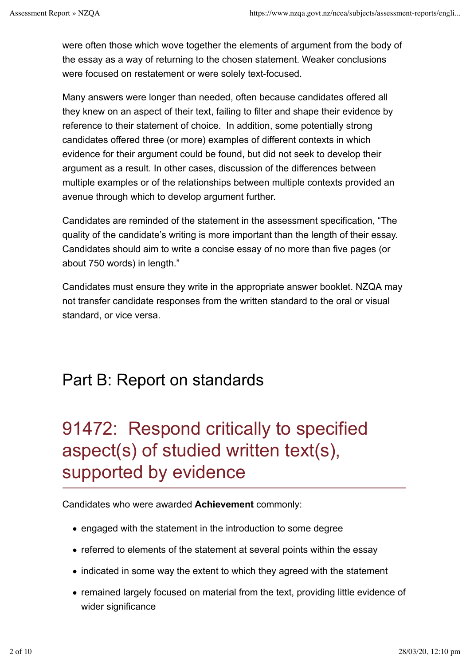were often those which wove together the elements of argument from the body of the essay as a way of returning to the chosen statement. Weaker conclusions were focused on restatement or were solely text-focused.

Many answers were longer than needed, often because candidates offered all they knew on an aspect of their text, failing to filter and shape their evidence by reference to their statement of choice. In addition, some potentially strong candidates offered three (or more) examples of different contexts in which evidence for their argument could be found, but did not seek to develop their argument as a result. In other cases, discussion of the differences between multiple examples or of the relationships between multiple contexts provided an avenue through which to develop argument further.

Candidates are reminded of the statement in the assessment specification, "The quality of the candidate's writing is more important than the length of their essay. Candidates should aim to write a concise essay of no more than five pages (or about 750 words) in length."

Candidates must ensure they write in the appropriate answer booklet. NZQA may not transfer candidate responses from the written standard to the oral or visual standard, or vice versa.

### Part B: Report on standards

## 91472: Respond critically to specified aspect(s) of studied written text(s), supported by evidence

Candidates who were awarded **Achievement** commonly:

- engaged with the statement in the introduction to some degree
- referred to elements of the statement at several points within the essay
- indicated in some way the extent to which they agreed with the statement
- remained largely focused on material from the text, providing little evidence of wider significance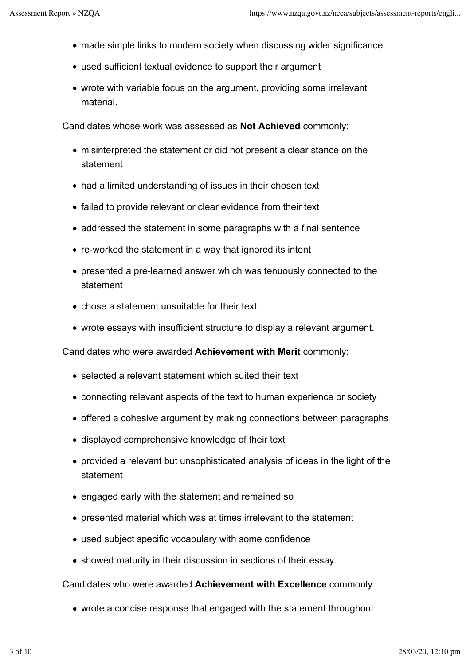- made simple links to modern society when discussing wider significance
- used sufficient textual evidence to support their argument
- wrote with variable focus on the argument, providing some irrelevant material.

Candidates whose work was assessed as **Not Achieved** commonly:

- misinterpreted the statement or did not present a clear stance on the statement
- had a limited understanding of issues in their chosen text
- failed to provide relevant or clear evidence from their text
- addressed the statement in some paragraphs with a final sentence
- re-worked the statement in a way that ignored its intent
- presented a pre-learned answer which was tenuously connected to the statement
- chose a statement unsuitable for their text
- wrote essays with insufficient structure to display a relevant argument.

Candidates who were awarded **Achievement with Merit** commonly:

- selected a relevant statement which suited their text
- connecting relevant aspects of the text to human experience or society
- offered a cohesive argument by making connections between paragraphs
- displayed comprehensive knowledge of their text
- provided a relevant but unsophisticated analysis of ideas in the light of the statement
- engaged early with the statement and remained so
- presented material which was at times irrelevant to the statement
- used subject specific vocabulary with some confidence
- showed maturity in their discussion in sections of their essay.

Candidates who were awarded **Achievement with Excellence** commonly:

wrote a concise response that engaged with the statement throughout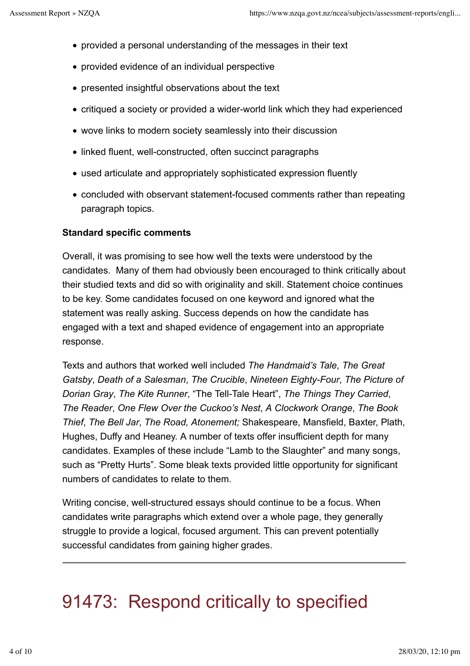- provided a personal understanding of the messages in their text
- provided evidence of an individual perspective
- presented insightful observations about the text
- critiqued a society or provided a wider-world link which they had experienced
- wove links to modern society seamlessly into their discussion
- linked fluent, well-constructed, often succinct paragraphs
- used articulate and appropriately sophisticated expression fluently
- concluded with observant statement-focused comments rather than repeating paragraph topics.

### **Standard specific comments**

Overall, it was promising to see how well the texts were understood by the candidates. Many of them had obviously been encouraged to think critically about their studied texts and did so with originality and skill. Statement choice continues to be key. Some candidates focused on one keyword and ignored what the statement was really asking. Success depends on how the candidate has engaged with a text and shaped evidence of engagement into an appropriate response.

Texts and authors that worked well included *The Handmaid's Tale*, *The Great Gatsby*, *Death of a Salesman*, *The Crucible*, *Nineteen Eighty-Four*, *The Picture of Dorian Gray*, *The Kite Runner*, "The Tell-Tale Heart", *The Things They Carried*, *The Reader*, *One Flew Over the Cuckoo's Nest*, *A Clockwork Orange*, *The Book Thief*, *The Bell Jar*, *The Road, Atonement;* Shakespeare, Mansfield, Baxter, Plath, Hughes, Duffy and Heaney. A number of texts offer insufficient depth for many candidates. Examples of these include "Lamb to the Slaughter" and many songs, such as "Pretty Hurts". Some bleak texts provided little opportunity for significant numbers of candidates to relate to them.

Writing concise, well-structured essays should continue to be a focus. When candidates write paragraphs which extend over a whole page, they generally struggle to provide a logical, focused argument. This can prevent potentially successful candidates from gaining higher grades.

## 91473: Respond critically to specified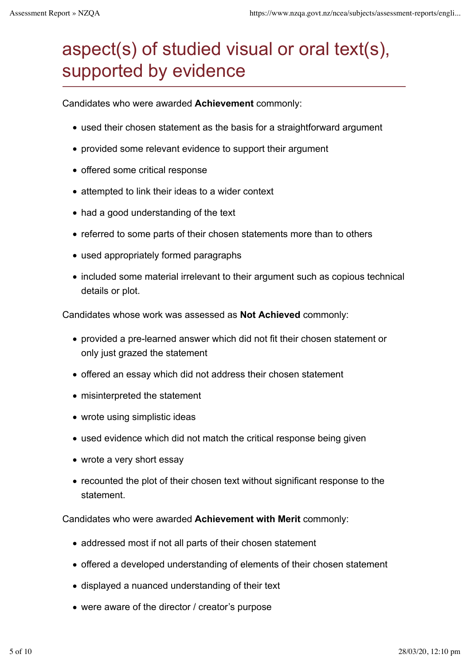## aspect(s) of studied visual or oral text(s), supported by evidence

Candidates who were awarded **Achievement** commonly:

- used their chosen statement as the basis for a straightforward argument
- provided some relevant evidence to support their argument
- offered some critical response
- attempted to link their ideas to a wider context
- had a good understanding of the text
- referred to some parts of their chosen statements more than to others
- used appropriately formed paragraphs
- included some material irrelevant to their argument such as copious technical details or plot.

Candidates whose work was assessed as **Not Achieved** commonly:

- provided a pre-learned answer which did not fit their chosen statement or only just grazed the statement
- offered an essay which did not address their chosen statement
- misinterpreted the statement
- wrote using simplistic ideas
- used evidence which did not match the critical response being given
- wrote a very short essay
- recounted the plot of their chosen text without significant response to the statement.

Candidates who were awarded **Achievement with Merit** commonly:

- addressed most if not all parts of their chosen statement
- offered a developed understanding of elements of their chosen statement
- displayed a nuanced understanding of their text
- were aware of the director / creator's purpose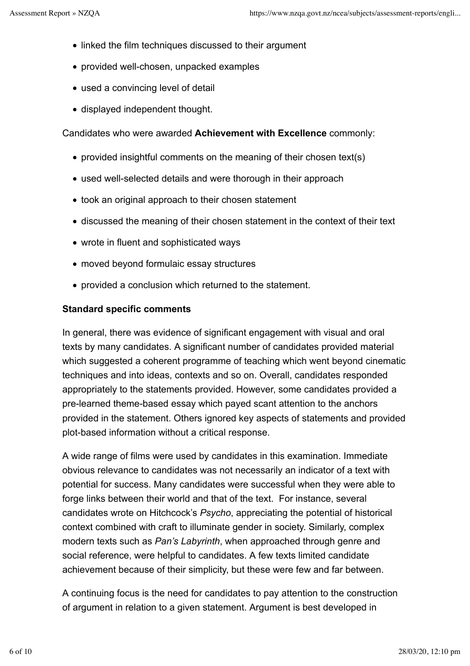- linked the film techniques discussed to their argument
- provided well-chosen, unpacked examples
- used a convincing level of detail
- displayed independent thought.

Candidates who were awarded **Achievement with Excellence** commonly:

- provided insightful comments on the meaning of their chosen text(s)
- used well-selected details and were thorough in their approach
- took an original approach to their chosen statement
- discussed the meaning of their chosen statement in the context of their text
- wrote in fluent and sophisticated ways
- moved beyond formulaic essay structures
- provided a conclusion which returned to the statement.

#### **Standard specific comments**

In general, there was evidence of significant engagement with visual and oral texts by many candidates. A significant number of candidates provided material which suggested a coherent programme of teaching which went beyond cinematic techniques and into ideas, contexts and so on. Overall, candidates responded appropriately to the statements provided. However, some candidates provided a pre-learned theme-based essay which payed scant attention to the anchors provided in the statement. Others ignored key aspects of statements and provided plot-based information without a critical response.

A wide range of films were used by candidates in this examination. Immediate obvious relevance to candidates was not necessarily an indicator of a text with potential for success. Many candidates were successful when they were able to forge links between their world and that of the text. For instance, several candidates wrote on Hitchcock's *Psycho*, appreciating the potential of historical context combined with craft to illuminate gender in society. Similarly, complex modern texts such as *Pan's Labyrinth*, when approached through genre and social reference, were helpful to candidates. A few texts limited candidate achievement because of their simplicity, but these were few and far between.

A continuing focus is the need for candidates to pay attention to the construction of argument in relation to a given statement. Argument is best developed in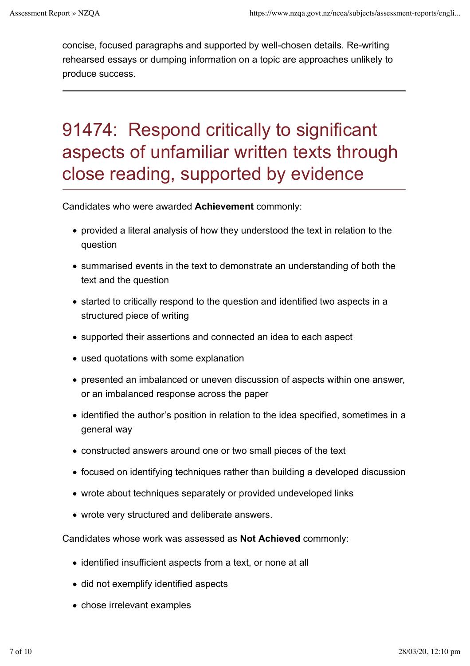concise, focused paragraphs and supported by well-chosen details. Re-writing rehearsed essays or dumping information on a topic are approaches unlikely to produce success.

## 91474: Respond critically to significant aspects of unfamiliar written texts through close reading, supported by evidence

Candidates who were awarded **Achievement** commonly:

- provided a literal analysis of how they understood the text in relation to the question
- summarised events in the text to demonstrate an understanding of both the text and the question
- started to critically respond to the question and identified two aspects in a structured piece of writing
- supported their assertions and connected an idea to each aspect
- used quotations with some explanation
- presented an imbalanced or uneven discussion of aspects within one answer, or an imbalanced response across the paper
- identified the author's position in relation to the idea specified, sometimes in a general way
- constructed answers around one or two small pieces of the text
- focused on identifying techniques rather than building a developed discussion
- wrote about techniques separately or provided undeveloped links
- wrote very structured and deliberate answers.

Candidates whose work was assessed as **Not Achieved** commonly:

- identified insufficient aspects from a text, or none at all
- did not exemplify identified aspects
- chose irrelevant examples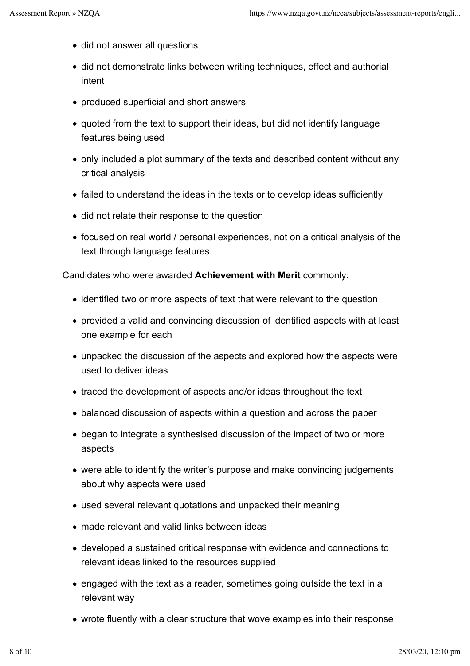- did not answer all questions
- did not demonstrate links between writing techniques, effect and authorial intent
- produced superficial and short answers
- quoted from the text to support their ideas, but did not identify language features being used
- only included a plot summary of the texts and described content without any critical analysis
- failed to understand the ideas in the texts or to develop ideas sufficiently
- did not relate their response to the question
- focused on real world / personal experiences, not on a critical analysis of the text through language features.

Candidates who were awarded **Achievement with Merit** commonly:

- identified two or more aspects of text that were relevant to the question
- provided a valid and convincing discussion of identified aspects with at least one example for each
- unpacked the discussion of the aspects and explored how the aspects were used to deliver ideas
- traced the development of aspects and/or ideas throughout the text
- balanced discussion of aspects within a question and across the paper
- began to integrate a synthesised discussion of the impact of two or more aspects
- were able to identify the writer's purpose and make convincing judgements about why aspects were used
- used several relevant quotations and unpacked their meaning
- made relevant and valid links between ideas
- developed a sustained critical response with evidence and connections to relevant ideas linked to the resources supplied
- engaged with the text as a reader, sometimes going outside the text in a relevant way
- wrote fluently with a clear structure that wove examples into their response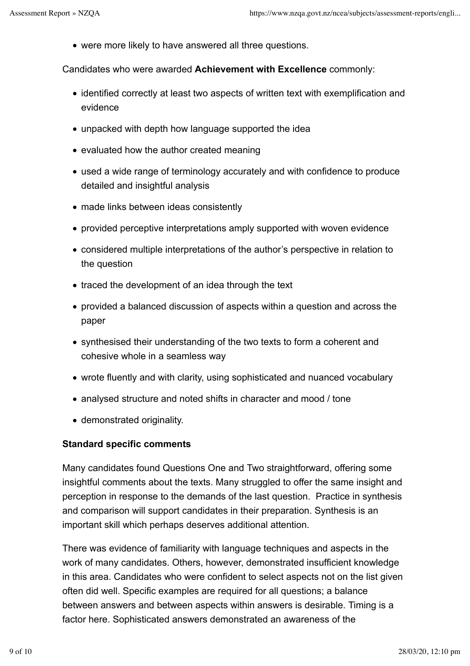were more likely to have answered all three questions.

Candidates who were awarded **Achievement with Excellence** commonly:

- identified correctly at least two aspects of written text with exemplification and evidence
- unpacked with depth how language supported the idea
- evaluated how the author created meaning
- used a wide range of terminology accurately and with confidence to produce detailed and insightful analysis
- made links between ideas consistently
- provided perceptive interpretations amply supported with woven evidence
- considered multiple interpretations of the author's perspective in relation to the question
- traced the development of an idea through the text
- provided a balanced discussion of aspects within a question and across the paper
- synthesised their understanding of the two texts to form a coherent and cohesive whole in a seamless way
- wrote fluently and with clarity, using sophisticated and nuanced vocabulary
- analysed structure and noted shifts in character and mood / tone
- demonstrated originality.

#### **Standard specific comments**

Many candidates found Questions One and Two straightforward, offering some insightful comments about the texts. Many struggled to offer the same insight and perception in response to the demands of the last question. Practice in synthesis and comparison will support candidates in their preparation. Synthesis is an important skill which perhaps deserves additional attention.

There was evidence of familiarity with language techniques and aspects in the work of many candidates. Others, however, demonstrated insufficient knowledge in this area. Candidates who were confident to select aspects not on the list given often did well. Specific examples are required for all questions; a balance between answers and between aspects within answers is desirable. Timing is a factor here. Sophisticated answers demonstrated an awareness of the